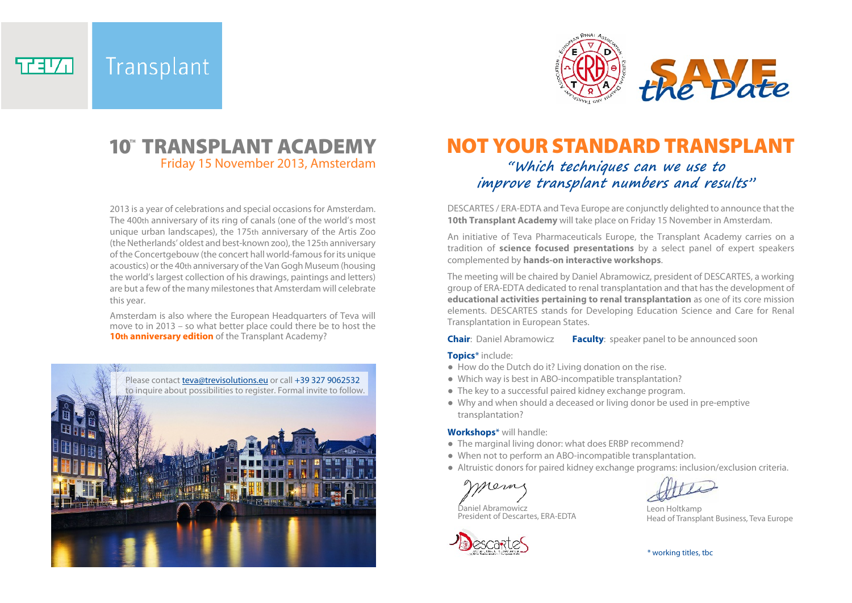Transplant 57370



# Friday 15 November 2013, Amsterdam

2013 is a year of celebrations and special occasions for Amsterdam. The 400th anniversary of its ring of canals (one of the world's most unique urban landscapes), the 175th anniversary of the Artis Zoo (the Netherlands' oldest and best-known zoo), the 125th anniversary of the Concertgebouw (the concert hall world-famous for its unique acoustics) or the 40th anniversary of the Van Gogh Museum (housing the world's largest collection of his drawings, paintings and letters) are but a few of the many milestones that Amsterdam will celebrate this year.

Amsterdam is also where the European Headquarters of Teva will move to in 2013 – so what better place could there be to host the **10th anniversary edition** of the Transplant Academy?



## **"Which techniques can we use to 10<sup>"</sup> TRANSPLANT ACADEMY MOT YOUR STANDARD TRANSPLANT**

## **improve transplant numbers and results"**

DESCARTES / ERA-EDTA and Teva Europe are conjunctly delighted to announce that the **10th Transplant Academy** will take place on Friday 15 November in Amsterdam.

An initiative of Teva Pharmaceuticals Europe, the Transplant Academy carries on a tradition of **science focused presentations** by a select panel of expert speakers complemented by **hands-on interactive workshops**.

The meeting will be chaired by Daniel Abramowicz, president of DESCARTES, a working group of ERA-EDTA dedicated to renal transplantation and that has the development of **educational activities pertaining to renal transplantation** as one of its core mission elements. DESCARTES stands for Developing Education Science and Care for Renal Transplantation in European States.

**Chair**: Daniel Abramowicz **Faculty**: speaker panel to be announced soon

#### **Topics**\* include:

- How do the Dutch do it? Living donation on the rise.
- Which way is best in ABO-incompatible transplantation?
- The key to a successful paired kidney exchange program.
- Why and when should a deceased or living donor be used in pre-emptive transplantation?

#### **Workshops**\* will handle:

- The marginal living donor: what does ERBP recommend?
- When not to perform an ABO-incompatible transplantation.
- Altruistic donors for paired kidney exchange programs: inclusion/exclusion criteria.

mem

Daniel Abramowicz President of Descartes, ERA-EDTA





Leon Holtkamp Head of Transplant Business, Teva Europe

\* working titles, tbc